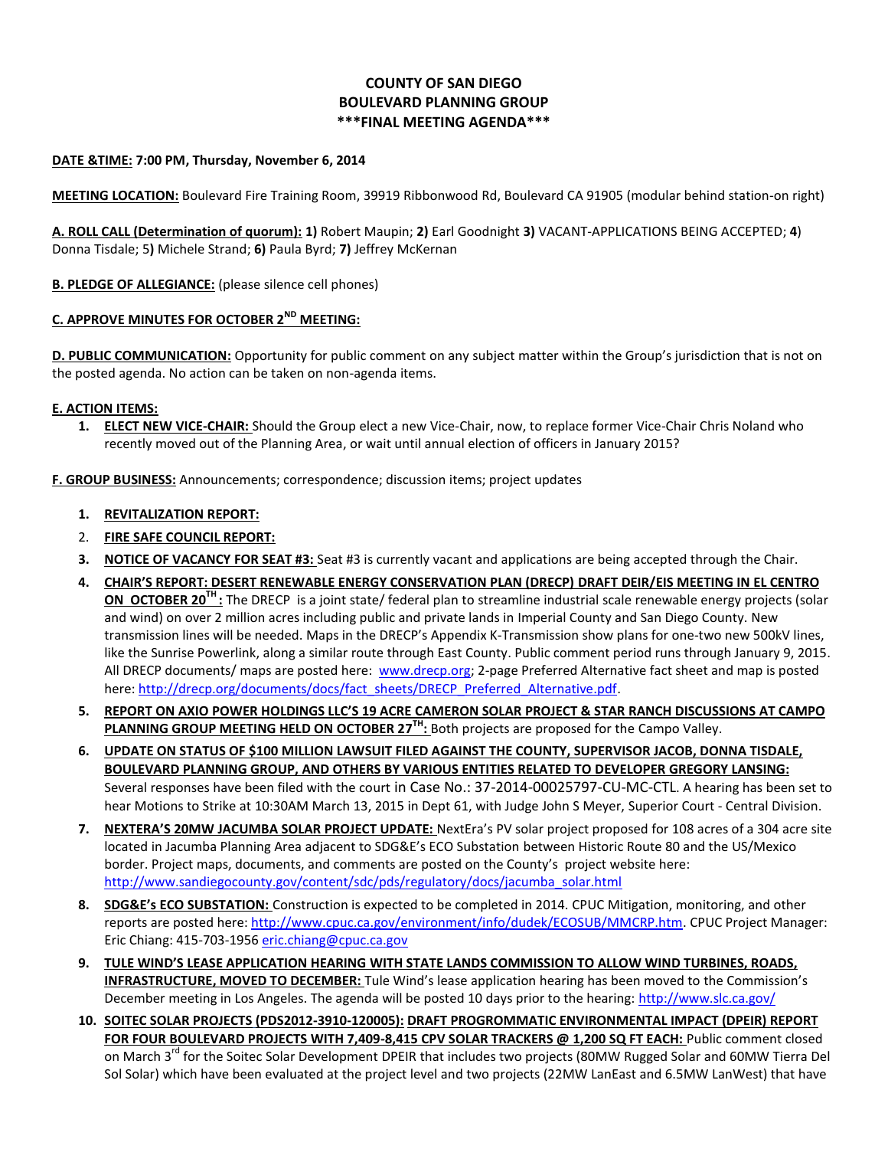# **COUNTY OF SAN DIEGO BOULEVARD PLANNING GROUP \*\*\*FINAL MEETING AGENDA\*\*\***

### **DATE &TIME: 7:00 PM, Thursday, November 6, 2014**

**MEETING LOCATION:** Boulevard Fire Training Room, 39919 Ribbonwood Rd, Boulevard CA 91905 (modular behind station-on right)

**A. ROLL CALL (Determination of quorum): 1)** Robert Maupin; **2)** Earl Goodnight **3)** VACANT-APPLICATIONS BEING ACCEPTED; **4**) Donna Tisdale; 5**)** Michele Strand; **6)** Paula Byrd; **7)** Jeffrey McKernan

**B. PLEDGE OF ALLEGIANCE:** (please silence cell phones)

## **C. APPROVE MINUTES FOR OCTOBER 2ND MEETING:**

**D. PUBLIC COMMUNICATION:** Opportunity for public comment on any subject matter within the Group's jurisdiction that is not on the posted agenda. No action can be taken on non-agenda items.

#### **E. ACTION ITEMS:**

**1. ELECT NEW VICE-CHAIR:** Should the Group elect a new Vice-Chair, now, to replace former Vice-Chair Chris Noland who recently moved out of the Planning Area, or wait until annual election of officers in January 2015?

**F. GROUP BUSINESS:** Announcements; correspondence; discussion items; project updates

- **1. REVITALIZATION REPORT:**
- 2. **FIRE SAFE COUNCIL REPORT:**
- **3. NOTICE OF VACANCY FOR SEAT #3:** Seat #3 is currently vacant and applications are being accepted through the Chair.
- **4. CHAIR'S REPORT: DESERT RENEWABLE ENERGY CONSERVATION PLAN (DRECP) DRAFT DEIR/EIS MEETING IN EL CENTRO ON OCTOBER 20TH :** The DRECP is a joint state/ federal plan to streamline industrial scale renewable energy projects (solar and wind) on over 2 million acres including public and private lands in Imperial County and San Diego County. New transmission lines will be needed. Maps in the DRECP's Appendix K-Transmission show plans for one-two new 500kV lines, like the Sunrise Powerlink, along a similar route through East County. Public comment period runs through January 9, 2015. All DRECP documents/ maps are posted here: www.drecp.org; 2-page Preferred Alternative fact sheet and map is posted here[: http://drecp.org/documents/docs/fact\\_sheets/DRECP\\_Preferred\\_Alternative.pdf.](http://drecp.org/documents/docs/fact_sheets/DRECP_Preferred_Alternative.pdf)
- **5. REPORT ON AXIO POWER HOLDINGS LLC'S 19 ACRE CAMERON SOLAR PROJECT & STAR RANCH DISCUSSIONS AT CAMPO PLANNING GROUP MEETING HELD ON OCTOBER 27TH :** Both projects are proposed for the Campo Valley.
- **6. UPDATE ON STATUS OF \$100 MILLION LAWSUIT FILED AGAINST THE COUNTY, SUPERVISOR JACOB, DONNA TISDALE, BOULEVARD PLANNING GROUP, AND OTHERS BY VARIOUS ENTITIES RELATED TO DEVELOPER GREGORY LANSING:** Several responses have been filed with the court in Case No.: 37-2014-00025797-CU-MC-CTL. A hearing has been set to hear Motions to Strike at 10:30AM March 13, 2015 in Dept 61, with Judge John S Meyer, Superior Court - Central Division.
- **7. NEXTERA'S 20MW JACUMBA SOLAR PROJECT UPDATE:** NextEra's PV solar project proposed for 108 acres of a 304 acre site located in Jacumba Planning Area adjacent to SDG&E's ECO Substation between Historic Route 80 and the US/Mexico border. Project maps, documents, and comments are posted on the County's project website here: [http://www.sandiegocounty.gov/content/sdc/pds/regulatory/docs/jacumba\\_solar.html](http://www.sandiegocounty.gov/content/sdc/pds/regulatory/docs/jacumba_solar.html)
- **8. SDG&E's ECO SUBSTATION:** Construction is expected to be completed in 2014. CPUC Mitigation, monitoring, and other reports are posted here[: http://www.cpuc.ca.gov/environment/info/dudek/ECOSUB/MMCRP.htm.](http://www.cpuc.ca.gov/environment/info/dudek/ECOSUB/MMCRP.htm) CPUC Project Manager: Eric Chiang: 415-703-1956 [eric.chiang@cpuc.ca.gov](mailto:eric.chiang@cpuc.ca.gov)
- **9. TULE WIND'S LEASE APPLICATION HEARING WITH STATE LANDS COMMISSION TO ALLOW WIND TURBINES, ROADS, INFRASTRUCTURE, MOVED TO DECEMBER:** Tule Wind's lease application hearing has been moved to the Commission's December meeting in Los Angeles. The agenda will be posted 10 days prior to the hearing:<http://www.slc.ca.gov/>
- **10. SOITEC SOLAR PROJECTS (PDS2012-3910-120005): DRAFT PROGROMMATIC ENVIRONMENTAL IMPACT (DPEIR) REPORT FOR FOUR BOULEVARD PROJECTS WITH 7,409-8,415 CPV SOLAR TRACKERS @ 1,200 SQ FT EACH:** Public comment closed on March 3<sup>rd</sup> for the Soitec Solar Development DPEIR that includes two projects (80MW Rugged Solar and 60MW Tierra Del Sol Solar) which have been evaluated at the project level and two projects (22MW LanEast and 6.5MW LanWest) that have